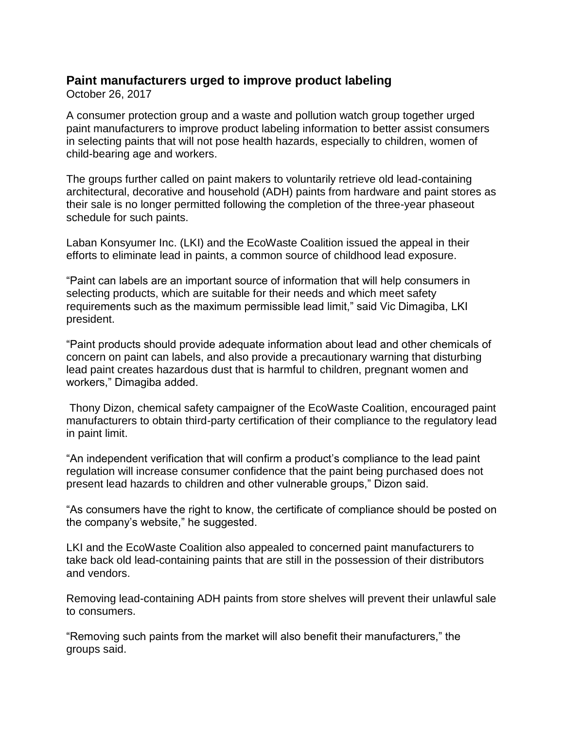## **Paint manufacturers urged to improve product labeling**

October 26, 2017

A consumer protection group and a waste and pollution watch group together urged paint manufacturers to improve product labeling information to better assist consumers in selecting paints that will not pose health hazards, especially to children, women of child-bearing age and workers.

The groups further called on paint makers to voluntarily retrieve old lead-containing architectural, decorative and household (ADH) paints from hardware and paint stores as their sale is no longer permitted following the completion of the three-year phaseout schedule for such paints.

Laban Konsyumer Inc. (LKI) and the EcoWaste Coalition issued the appeal in their efforts to eliminate lead in paints, a common source of childhood lead exposure.

"Paint can labels are an important source of information that will help consumers in selecting products, which are suitable for their needs and which meet safety requirements such as the maximum permissible lead limit," said Vic Dimagiba, LKI president.

"Paint products should provide adequate information about lead and other chemicals of concern on paint can labels, and also provide a precautionary warning that disturbing lead paint creates hazardous dust that is harmful to children, pregnant women and workers," Dimagiba added.

Thony Dizon, chemical safety campaigner of the EcoWaste Coalition, encouraged paint manufacturers to obtain third-party certification of their compliance to the regulatory lead in paint limit.

"An independent verification that will confirm a product's compliance to the lead paint regulation will increase consumer confidence that the paint being purchased does not present lead hazards to children and other vulnerable groups," Dizon said.

"As consumers have the right to know, the certificate of compliance should be posted on the company's website," he suggested.

LKI and the EcoWaste Coalition also appealed to concerned paint manufacturers to take back old lead-containing paints that are still in the possession of their distributors and vendors.

Removing lead-containing ADH paints from store shelves will prevent their unlawful sale to consumers.

"Removing such paints from the market will also benefit their manufacturers," the groups said.